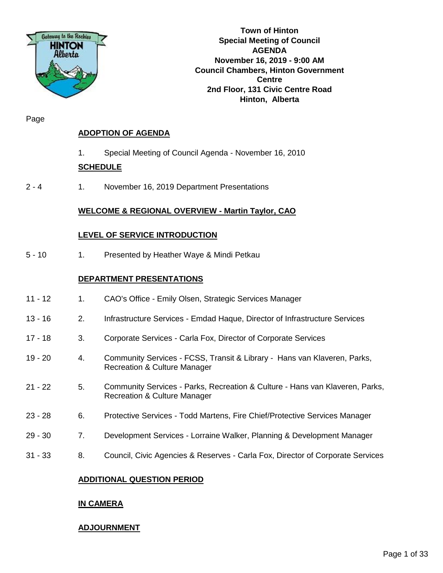

**Town of Hinton Special Meeting of Council AGENDA November 16, 2019 - 9:00 AM Council Chambers, Hinton Government Centre 2nd Floor, 131 Civic Centre Road Hinton, Alberta**

Page

#### **ADOPTION OF AGENDA**

1. Special Meeting of Council Agenda - November 16, 2010

#### **SCHEDULE**

2 - 4 1. November 16, 2019 Department Presentations

#### **WELCOME & REGIONAL OVERVIEW - Martin Taylor, CAO**

#### **LEVEL OF SERVICE INTRODUCTION**

5 - 10 1. Presented by Heather Waye & Mindi Petkau

#### **DEPARTMENT PRESENTATIONS**

- 11 12 1. CAO's Office Emily Olsen, Strategic Services Manager
- 13 16 2. Infrastructure Services Emdad Haque, Director of Infrastructure Services
- 17 18 3. Corporate Services Carla Fox, Director of Corporate Services
- 19 20 4. Community Services FCSS, Transit & Library Hans van Klaveren, Parks, Recreation & Culture Manager
- 21 22 5. Community Services Parks, Recreation & Culture Hans van Klaveren, Parks, Recreation & Culture Manager
- 23 28 6. Protective Services Todd Martens, Fire Chief/Protective Services Manager
- 29 30 7. Development Services Lorraine Walker, Planning & Development Manager
- 31 33 8. Council, Civic Agencies & Reserves Carla Fox, Director of Corporate Services

#### **ADDITIONAL QUESTION PERIOD**

#### **IN CAMERA**

#### **ADJOURNMENT**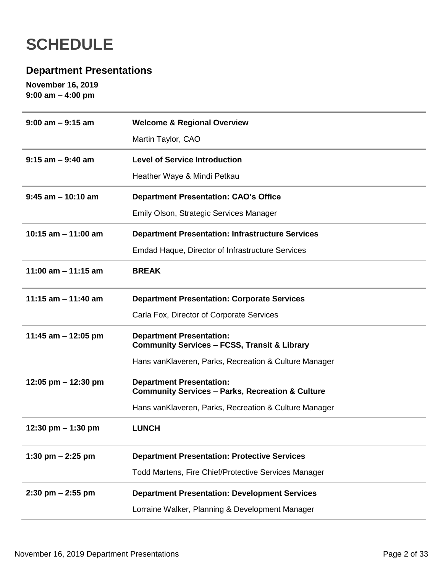# **SCHEDULE**

### **Department Presentations**

**November 16, 2019 9:00 am – 4:00 pm**

| $9:00$ am $-9:15$ am  | <b>Welcome &amp; Regional Overview</b>                                                         |  |
|-----------------------|------------------------------------------------------------------------------------------------|--|
|                       | Martin Taylor, CAO                                                                             |  |
| $9:15$ am $-9:40$ am  | <b>Level of Service Introduction</b>                                                           |  |
|                       | Heather Waye & Mindi Petkau                                                                    |  |
| $9:45$ am $-10:10$ am | <b>Department Presentation: CAO's Office</b>                                                   |  |
|                       | Emily Olson, Strategic Services Manager                                                        |  |
| 10:15 am $-$ 11:00 am | <b>Department Presentation: Infrastructure Services</b>                                        |  |
|                       | Emdad Haque, Director of Infrastructure Services                                               |  |
| 11:00 am $-$ 11:15 am | <b>BREAK</b>                                                                                   |  |
| 11:15 am $-$ 11:40 am | <b>Department Presentation: Corporate Services</b>                                             |  |
|                       | Carla Fox, Director of Corporate Services                                                      |  |
| 11:45 am $-$ 12:05 pm | <b>Department Presentation:</b><br><b>Community Services - FCSS, Transit &amp; Library</b>     |  |
|                       | Hans vanKlaveren, Parks, Recreation & Culture Manager                                          |  |
| 12:05 pm $-$ 12:30 pm | <b>Department Presentation:</b><br><b>Community Services - Parks, Recreation &amp; Culture</b> |  |
|                       | Hans van Klaveren, Parks, Recreation & Culture Manager                                         |  |
| 12:30 pm $-$ 1:30 pm  | <b>LUNCH</b>                                                                                   |  |
| 1:30 pm $- 2:25$ pm   | <b>Department Presentation: Protective Services</b>                                            |  |
|                       | <b>Todd Martens, Fire Chief/Protective Services Manager</b>                                    |  |
| $2:30$ pm $- 2:55$ pm | <b>Department Presentation: Development Services</b>                                           |  |
|                       | Lorraine Walker, Planning & Development Manager                                                |  |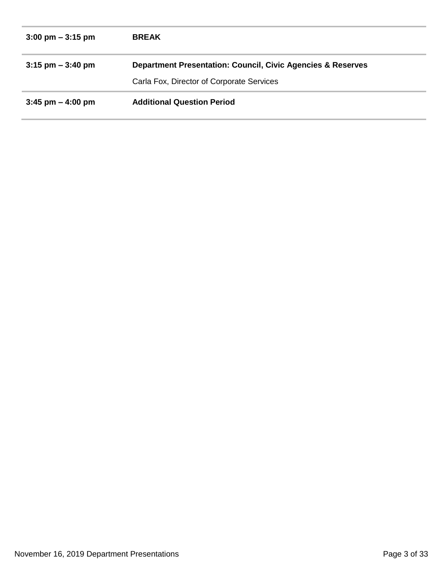| $3:00 \text{ pm} - 3:15 \text{ pm}$ | <b>BREAK</b>                                                           |
|-------------------------------------|------------------------------------------------------------------------|
| $3:15$ pm $-3:40$ pm                | <b>Department Presentation: Council, Civic Agencies &amp; Reserves</b> |
|                                     | Carla Fox, Director of Corporate Services                              |
| $3:45$ pm $-4:00$ pm                | <b>Additional Question Period</b>                                      |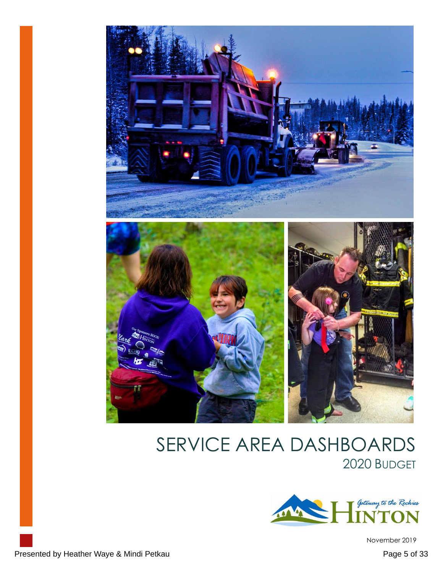

# SERVICE AREA DASHBOARDS 2020 BUDGET



November 2019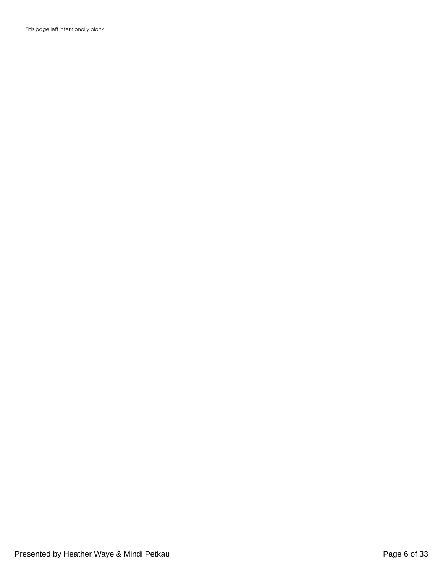This page left intentionally blank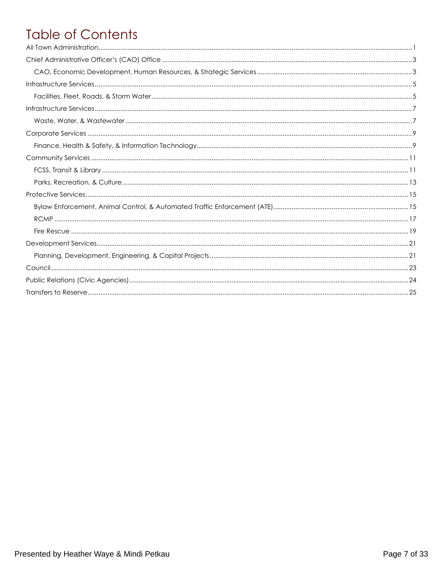# <span id="page-6-0"></span>**Table of Contents**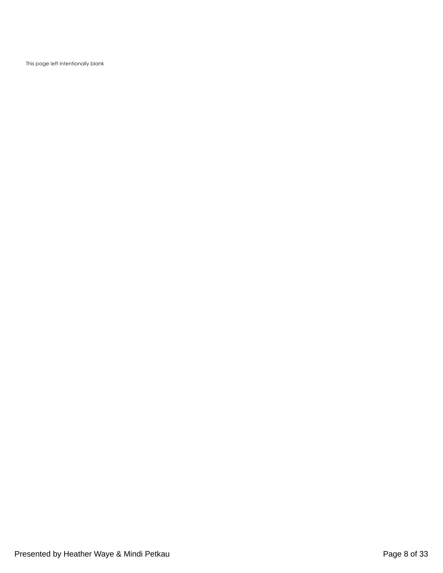This page left intentionally blank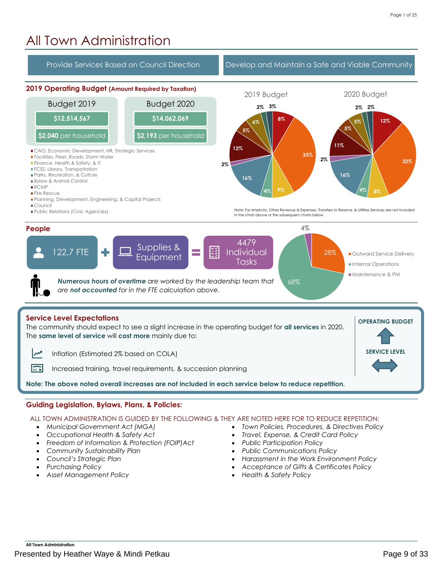## All Town Administration



- *Occupational Health & Safety Act*
- *Freedom of Information & Protection (FOIP)Act*
- *Community Sustainability Plan*
- *Council's Strategic Plan*
- *Purchasing Policy*
- *Asset Management Policy*
- *Travel, Expense, & Credit Card Policy*
- *Public Participation Policy*
- *Public Communications Policy*
- *Harassment in the Work Environment Policy*
- *Acceptance of Gifts & Certificates Policy*
- *Health & Safety Policy*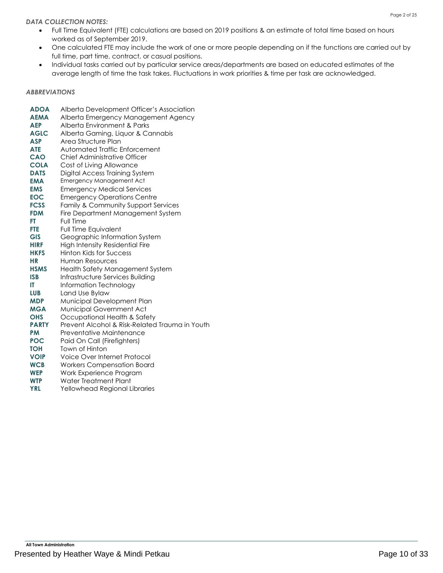#### *DATA COLLECTION NOTES:*

- Full Time Equivalent (FTE) calculations are based on 2019 positions & an estimate of total time based on hours worked as of September 2019.
- One calculated FTE may include the work of one or more people depending on if the functions are carried out by full time, part time, contract, or casual positions.
- Individual tasks carried out by particular service areas/departments are based on educated estimates of the average length of time the task takes. Fluctuations in work priorities & time per task are acknowledged.

#### *ABBREVIATIONS*

**ADOA** Alberta Development Officer's Association **AEMA** Alberta Emergency Management Agency **AEP** Alberta Environment & Parks **AGLC** Alberta Gaming, Liquor & Cannabis **ASP** Area Structure Plan **ATE** Automated Traffic Enforcement **CAO** Chief Administrative Officer **COLA** Cost of Living Allowance **DATS** Digital Access Training System **EMA** Emergency Management Act **EMS** Emergency Medical Services **EOC** Emergency Operations Centre **FCSS** Family & Community Support Services **FDM** Fire Department Management System **FT** Full Time **FTE** Full Time Equivalent **GIS** Geographic Information System **HIRF** High Intensity Residential Fire **HKFS** Hinton Kids for Success **HR** Human Resources **HSMS** Health Safety Management System **ISB** Infrastructure Services Building **IT** Information Technology **LUB** Land Use Bylaw **MDP** Municipal Development Plan **MGA** Municipal Government Act **OHS** Occupational Health & Safety **PARTY** Prevent Alcohol & Risk-Related Trauma in Youth **PM** Preventative Maintenance **POC** Paid On Call (Firefighters) **TOH** Town of Hinton **VOIP** Voice Over Internet Protocol **WCB** Workers Compensation Board **WEP** Work Experience Program **WTP** Water Treatment Plant **YRL** Yellowhead Regional Libraries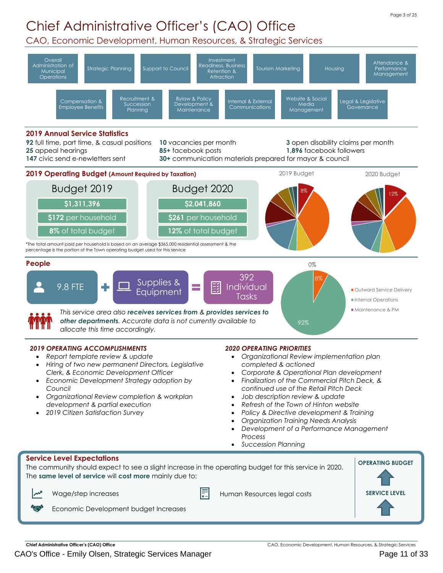# Chief Administrative Officer's (CAO) Office

CAO, Economic Development, Human Resources, & Strategic Services

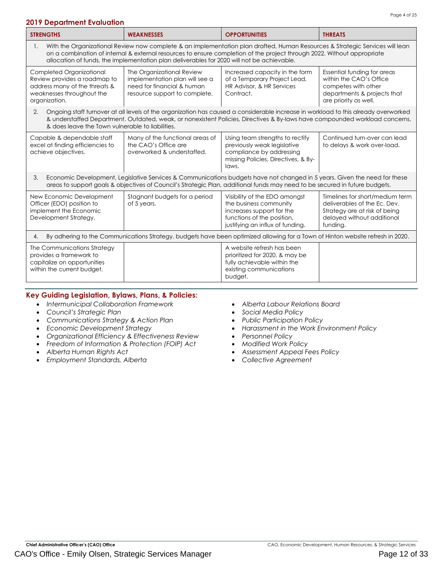| zu i z beparındeni Evaludilen                                                                                                                                                                                                                                                                                                                               |                                                                                                                                                                                                                                                                   |                                                                                                                                                        |                                                                                                                                            |  |
|-------------------------------------------------------------------------------------------------------------------------------------------------------------------------------------------------------------------------------------------------------------------------------------------------------------------------------------------------------------|-------------------------------------------------------------------------------------------------------------------------------------------------------------------------------------------------------------------------------------------------------------------|--------------------------------------------------------------------------------------------------------------------------------------------------------|--------------------------------------------------------------------------------------------------------------------------------------------|--|
| <b>STRENGTHS</b>                                                                                                                                                                                                                                                                                                                                            | <b>WEAKNESSES</b>                                                                                                                                                                                                                                                 | <b>OPPORTUNITIES</b>                                                                                                                                   | <b>THREATS</b>                                                                                                                             |  |
| With the Organizational Review now complete & an implementation plan drafted, Human Resources & Strategic Services will lean<br>1.<br>on a combination of internal & external resources to ensure completion of the project through 2022. Without appropriate<br>allocation of funds, the implementation plan deliverables for 2020 will not be achievable. |                                                                                                                                                                                                                                                                   |                                                                                                                                                        |                                                                                                                                            |  |
| Completed Organizational<br>Review provides a roadmap to<br>address many of the threats &<br>weaknesses throughout the<br>organization.                                                                                                                                                                                                                     | The Organizational Review<br>implementation plan will see a<br>need for financial & human<br>resource support to complete.                                                                                                                                        | Increased capacity in the form<br>of a Temporary Project Lead,<br>HR Advisor, & HR Services<br>Contract.                                               | Essential funding for areas<br>within the CAO's Office<br>competes with other<br>departments & projects that<br>are priority as well.      |  |
| 2.<br>& does leave the Town vulnerable to liabilities.                                                                                                                                                                                                                                                                                                      | Ongoing staff turnover at all levels of the organization has caused a considerable increase in workload to this already overworked<br>& understaffed Department. Outdated, weak, or nonexistent Policies, Directives & By-laws have compounded workload concerns, |                                                                                                                                                        |                                                                                                                                            |  |
| Capable & dependable staff<br>excel at finding efficiencies to<br>achieve objectives.                                                                                                                                                                                                                                                                       | Many of the functional areas of<br>the CAO's Office are<br>overworked & understaffed.                                                                                                                                                                             | Using team strengths to rectify<br>previously weak legislative<br>compliance by addressing<br>missing Policies, Directives, & By-<br>laws.             | Continued turn-over can lead<br>to delays & work over-load.                                                                                |  |
| 3.                                                                                                                                                                                                                                                                                                                                                          | Economic Development, Legislative Services & Communications budgets have not changed in 5 years. Given the need for these<br>areas to support goals & objectives of Council's Strategic Plan, additional funds may need to be secured in future budgets.          |                                                                                                                                                        |                                                                                                                                            |  |
| New Economic Development<br>Officer (EDO) position to<br>implement the Economic<br>Development Strategy.                                                                                                                                                                                                                                                    | Stagnant budgets for a period<br>of 5 years.                                                                                                                                                                                                                      | Visibility of the EDO amongst<br>the business community<br>increases support for the<br>functions of the position,<br>justifying an influx of funding. | Timelines for short/medium term<br>deliverables of the Ec. Dev.<br>Strategy are at risk of being<br>delayed without additional<br>funding. |  |
| By adhering to the Communications Strategy, budgets have been optimized allowing for a Town of Hinton website refresh in 2020.<br>4.                                                                                                                                                                                                                        |                                                                                                                                                                                                                                                                   |                                                                                                                                                        |                                                                                                                                            |  |
| The Communications Strategy<br>provides a framework to<br>capitalize on opportunities<br>within the current budget.                                                                                                                                                                                                                                         |                                                                                                                                                                                                                                                                   | A website refresh has been<br>prioritized for 2020, & may be<br>fully achievable within the<br>existing communications<br>budget.                      |                                                                                                                                            |  |

- *Intermunicipal Collaboration Framework*
- *Council's Strategic Plan*
- *Communications Strategy & Action Plan*
- *Economic Development Strategy*
- *Organizational Efficiency & Effectiveness Review*
- *Freedom of Information & Protection (FOIP) Act*
- *Alberta Human Rights Act*
- *Employment Standards, Alberta*
- *Alberta Labour Relations Board*
- *Social Media Policy*
- *Public Participation Policy*
- *Harassment in the Work Environment Policy*
- *Personnel Policy*
- *Modified Work Policy*
- *Assessment Appeal Fees Policy*
- *Collective Agreement*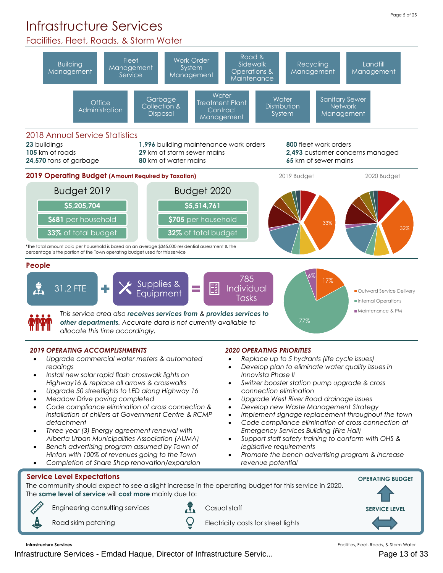## Infrastructure Services

Facilities, Fleet, Roads, & Storm Water



Infrastructure Services - Emdad Haque, Director of Infrastructure Servic... Page 13 of 33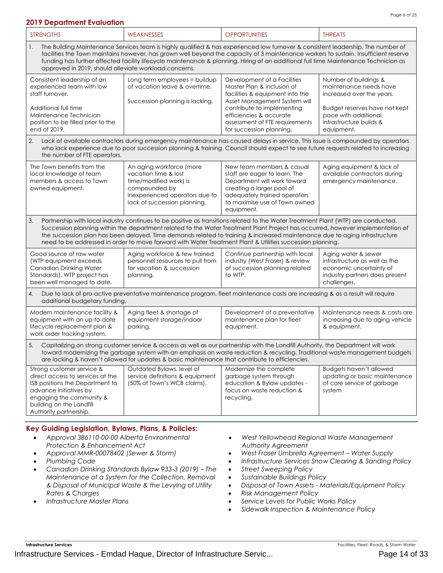| 2017 Department Evaluation                                                                                                                                                                                                                                                                                                                                                                                                                                              |                                                                                                                                                               |                                                                                                                                                                                                                                                                                                                                                                                                                                                                                                                |                                                                                                                                                                                |  |
|-------------------------------------------------------------------------------------------------------------------------------------------------------------------------------------------------------------------------------------------------------------------------------------------------------------------------------------------------------------------------------------------------------------------------------------------------------------------------|---------------------------------------------------------------------------------------------------------------------------------------------------------------|----------------------------------------------------------------------------------------------------------------------------------------------------------------------------------------------------------------------------------------------------------------------------------------------------------------------------------------------------------------------------------------------------------------------------------------------------------------------------------------------------------------|--------------------------------------------------------------------------------------------------------------------------------------------------------------------------------|--|
| <b>STRENGTHS</b>                                                                                                                                                                                                                                                                                                                                                                                                                                                        | <b>WEAKNESSES</b>                                                                                                                                             | <b>OPPORTUNITIES</b>                                                                                                                                                                                                                                                                                                                                                                                                                                                                                           | <b>THREATS</b>                                                                                                                                                                 |  |
| The Building Maintenance Services team is highly qualified & has experienced low turnover & consistent leadership. The number of<br>facilities the Town maintains however, has grown well beyond the capacity of 3 maintenance workers to sustain. Insufficient reserve<br>funding has further affected facility lifecycle maintenance & planning. Hiring of an additional full time Maintenance Technicion as<br>approved in 2019, should alleviate workload concerns. |                                                                                                                                                               |                                                                                                                                                                                                                                                                                                                                                                                                                                                                                                                |                                                                                                                                                                                |  |
| Consistent leadership of an<br>experienced team with low<br>staff turnover.<br>Additional full time<br>Maintenance Technician<br>position to be filled prior to the<br>end of 2019.                                                                                                                                                                                                                                                                                     | Long term employees = buildup<br>of vacation leave & overtime.<br>Succession planning is lacking.                                                             | Development of a Facilities<br>Master Plan & inclusion of<br>facilities & equipment into the<br>Asset Management System will<br>contribute to implementing<br>efficiencies & accurate<br>assessment of FTE requirements<br>for succession planning.                                                                                                                                                                                                                                                            | Number of buildings &<br>maintenance needs have<br>increased over the years.<br>Budget reserves have not kept<br>pace with additional<br>infrastructure builds &<br>equipment. |  |
| 2.<br>the number of FTE operators.                                                                                                                                                                                                                                                                                                                                                                                                                                      |                                                                                                                                                               | Lack of available contractors during emergency maintenance has caused delays in service. This issue is compounded by operators<br>who lack experience due to poor succession planning & training. Council should expect to see future requests related to increasing                                                                                                                                                                                                                                           |                                                                                                                                                                                |  |
| The Town benefits from the<br>local knowledge of team<br>members & access to Town<br>owned equipment.                                                                                                                                                                                                                                                                                                                                                                   | An aging workforce (more<br>vacation time & lost<br>time/modified work) is<br>compounded by<br>inexperienced operators due to<br>lack of succession planning. | New team members & casual<br>staff are eager to learn. The<br>Department will work toward<br>creating a larger pool of<br>adequately trained operators<br>to maximise use of Town owned<br>equipment.                                                                                                                                                                                                                                                                                                          | Aging equipment & lack of<br>available contractors during<br>emergency maintenance.                                                                                            |  |
| 3.                                                                                                                                                                                                                                                                                                                                                                                                                                                                      |                                                                                                                                                               | Partnership with local industry continues to be positive as transitions related to the Water Treatment Plant (WTP) are conducted.<br>Succession planning within the department related to the Water Treatment Plant Project has occurred, however implementation of<br>the succession plan has been delayed. Time demands related to training & increased maintenance due to aging infrastructure<br>need to be addressed in order to move forward with Water Treatment Plant & Utilities succession planning. |                                                                                                                                                                                |  |
| Good source of raw water<br>(WTP equipment exceeds<br><b>Canadian Drinking Water</b><br>Standards). WTP project has<br>been well managed to date.                                                                                                                                                                                                                                                                                                                       | Aging workforce & few trained<br>personnel resources to pull from<br>for vacation & succession<br>planning.                                                   | Continue partnership with local<br>industry (West Fraser) & review<br>of succession planning related<br>to WTP.                                                                                                                                                                                                                                                                                                                                                                                                | Aging water & sewer<br>infrastructure as well as the<br>economic uncertainty of<br>industry partners does present<br>challenges.                                               |  |
| 4.<br>additional budgetary funding.                                                                                                                                                                                                                                                                                                                                                                                                                                     |                                                                                                                                                               | Due to lack of pro-active preventative maintenance program, fleet maintenance costs are increasing & as a result will require                                                                                                                                                                                                                                                                                                                                                                                  |                                                                                                                                                                                |  |
| Modern maintenance facility &<br>equipment with an up-to-date<br>lifecycle replacement plan &<br>work order tracking system.                                                                                                                                                                                                                                                                                                                                            | Aging fleet & shortage of<br>equipment storage/indoor<br>parking.                                                                                             | Development of a preventative<br>maintenance plan for fleet<br>equipment.                                                                                                                                                                                                                                                                                                                                                                                                                                      | Maintenance needs & costs are<br>increasing due to aging vehicle<br>& equipment.                                                                                               |  |
| 5.<br>Capitalizing on strong customer service & access as well as our partnership with the Landfill Authority, the Department will work<br>toward modernizing the garbage system with an emphasis on waste reduction & recycling. Traditional waste management budgets<br>are lacking & haven't allowed for updates & basic maintenance that contribute to efficiencies.                                                                                                |                                                                                                                                                               |                                                                                                                                                                                                                                                                                                                                                                                                                                                                                                                |                                                                                                                                                                                |  |
| Strong customer service &<br>direct access to services at the<br>ISB positions the Department to<br>advance initiatives by<br>engaging the community &<br>building on the Landfill<br>Authority partnership.                                                                                                                                                                                                                                                            | Outdated Bylaws, level of<br>service definitions & equipment<br>(50% of Town's WCB claims).                                                                   | Modernize the complete<br>garbage system through<br>education & Bylaw updates -<br>focus on waste reduction &<br>recycling.                                                                                                                                                                                                                                                                                                                                                                                    | Budgets haven't allowed<br>updating or basic maintenance<br>of core service of garbage<br>system                                                                               |  |

- *Approval 386110-00-00 Alberta Environmental Protection & Enhancement Act*
- *Approval MMR-00078402 (Sewer & Storm)*
- *Plumbing Code*
- *Canadian Drinking Standards Bylaw 933-3 (2019) – The Maintenance of a System for the Collection, Removal & Disposal of Municipal Waste & the Levying of Utility Rates & Charges*
- *Infrastructure Master Plans*
- *West Yellowhead Regional Waste Management Authority Agreement*
- *West Fraser Umbrella Agreement – Water Supply*
- *Infrastructure Services Snow Clearing & Sanding Policy*
- *Street Sweeping Policy*
- *Sustainable Buildings Policy*
- *Disposal of Town Assets - Materials/Equipment Policy*
- *Risk Management Policy*
- *Service Levels for Public Works Policy*
- *Sidewalk Inspection & Maintenance Policy*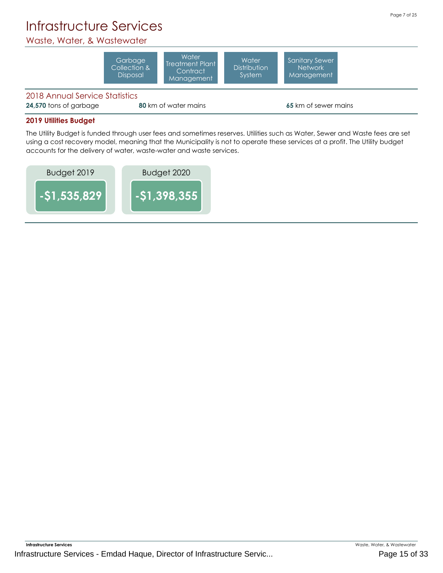### Infrastructure Services

Waste, Water, & Wastewater



#### **2019 Utilities Budget**

The Utility Budget is funded through user fees and sometimes reserves. Utilities such as Water, Sewer and Waste fees are set using a cost recovery model, meaning that the Municipality is not to operate these services at a profit. The Utility budget accounts for the delivery of water, waste-water and waste services.

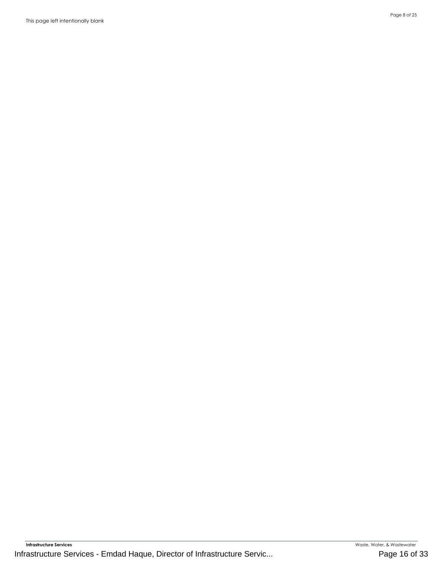This page left intentionally blank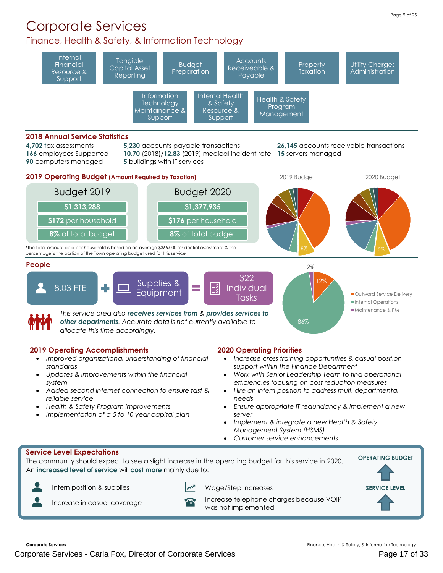# Corporate Services

### Finance, Health & Safety, & Information Technology

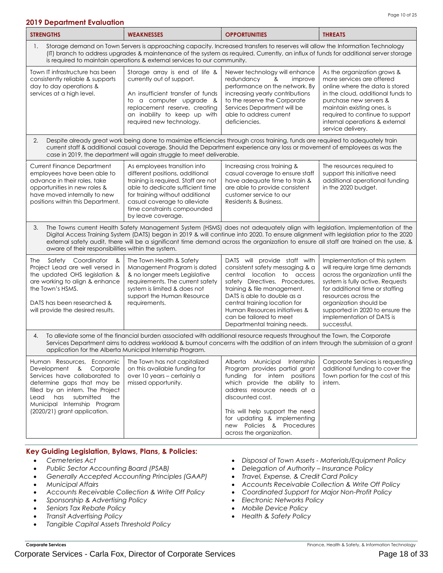| <b>STRENGTHS</b>                                                                                                                                                                                                                                                                                                                                        | <b>WEAKNESSES</b>                                                                                                                                                                                                                                                  | <b>OPPORTUNITIES</b>                                                                                                                                                                                                                                                                                                                                                                                        | <b>THREATS</b>                                                                                                                                                                                                                                                                                                |  |
|---------------------------------------------------------------------------------------------------------------------------------------------------------------------------------------------------------------------------------------------------------------------------------------------------------------------------------------------------------|--------------------------------------------------------------------------------------------------------------------------------------------------------------------------------------------------------------------------------------------------------------------|-------------------------------------------------------------------------------------------------------------------------------------------------------------------------------------------------------------------------------------------------------------------------------------------------------------------------------------------------------------------------------------------------------------|---------------------------------------------------------------------------------------------------------------------------------------------------------------------------------------------------------------------------------------------------------------------------------------------------------------|--|
| Storage demand on Town Servers is approaching capacity. Increased transfers to reserves will allow the Information Technology<br>1.<br>(IT) branch to address upgrades & maintenance of the system as required. Currently, an influx of funds for additional server storage<br>is required to maintain operations & external services to our community. |                                                                                                                                                                                                                                                                    |                                                                                                                                                                                                                                                                                                                                                                                                             |                                                                                                                                                                                                                                                                                                               |  |
| Town IT infrastructure has been<br>consistently reliable & supports<br>day to day operations &<br>services at a high level.                                                                                                                                                                                                                             | Storage array is end of life &<br>currently out of support.<br>An insufficient transfer of funds<br>to a computer upgrade &<br>replacement reserve, creating<br>an inability to keep up with<br>required new technology.                                           | Newer technology will enhance<br>redundancy<br>&<br>improve<br>performance on the network. By<br>increasing yearly contributions<br>to the reserve the Corporate<br>Services Department will be<br>able to address current<br>deficiencies.                                                                                                                                                                 | As the organization grows &<br>more services are offered<br>online where the data is stored<br>in the cloud, additional funds to<br>purchase new servers &<br>maintain existing ones, is<br>required to continue to support<br>internal operations & external<br>service delivery.                            |  |
| 2.                                                                                                                                                                                                                                                                                                                                                      | case in 2019, the department will again struggle to meet deliverable.                                                                                                                                                                                              | Despite already great work being done to maximize efficiencies through cross training, funds are required to adequately train<br>current staff & additional casual coverage. Should the Department experience any loss or movement of employees as was the                                                                                                                                                  |                                                                                                                                                                                                                                                                                                               |  |
| <b>Current Finance Department</b><br>employees have been able to<br>advance in their roles, take<br>opportunities in new roles &<br>have moved internally to new<br>positions within this Department.                                                                                                                                                   | As employees transition into<br>different positions, additional<br>training is required. Staff are not<br>able to dedicate sufficient time<br>for training without additional<br>casual coverage to alleviate<br>time constraints compounded<br>by leave coverage. | Increasing cross training &<br>casual coverage to ensure staff<br>have adequate time to train &<br>are able to provide consistent<br>customer service to our<br>Residents & Business.                                                                                                                                                                                                                       | The resources required to<br>support this initiative need<br>additional operational funding<br>in the 2020 budget.                                                                                                                                                                                            |  |
| 3.<br>aware of their responsibilities within the system.                                                                                                                                                                                                                                                                                                |                                                                                                                                                                                                                                                                    | The Towns current Health Safety Management System (HSMS) does not adequately align with legislation. Implementation of the<br>Digital Access Training System (DATS) began in 2019 & will continue into 2020. To ensure alignment with legislation prior to the 2020<br>external safety audit, there will be a significant time demand across the organization to ensure all staff are trained on the use, & |                                                                                                                                                                                                                                                                                                               |  |
| The<br>Safety<br>Coordinator<br>&<br>Project Lead are well versed in<br>the updated OHS legislation &<br>are working to align & enhance<br>the Town's HSMS.<br>DATS has been researched &<br>will provide the desired results.                                                                                                                          | The Town Health & Safety<br>Management Program is dated<br>& no longer meets Legislative<br>requirements. The current safety<br>system is limited & does not<br>support the Human Resource<br>requirements.                                                        | DATS will provide staff with<br>consistent safety messaging & a<br>central location to access<br>safety Directives, Procedures,<br>training & file management.<br>DATS is able to double as a<br>central training location for<br>Human Resources initiatives &<br>can be tailored to meet<br>Departmental training needs.                                                                                  | Implementation of this system<br>will require large time demands<br>across the organization until the<br>system is fully active. Requests<br>for additional time or staffing<br>resources across the<br>organization should be<br>supported in 2020 to ensure the<br>implementation of DATS is<br>successful. |  |
| To alleviate some of the financial burden associated with additional resource requests throughout the Town, the Corporate<br>4.<br>Services Department aims to address workload & burnout concerns with the addition of an intern through the submission of a grant<br>application for the Alberta Municipal Internship Program.                        |                                                                                                                                                                                                                                                                    |                                                                                                                                                                                                                                                                                                                                                                                                             |                                                                                                                                                                                                                                                                                                               |  |
| Human Resources, Economic<br>Development & Corporate<br>Services have collaborated to<br>determine gaps that may be<br>filled by an intern. The Project<br>Lead has submitted the<br>Municipal Internship Program<br>(2020/21) grant application.                                                                                                       | The Town has not capitalized<br>on this available funding for<br>over 10 years - certainly a<br>missed opportunity.                                                                                                                                                | Alberta Municipal Internship<br>Program provides partial grant<br>funding for intern positions<br>which provide the ability to<br>address resource needs at a<br>discounted cost.<br>This will help support the need<br>for updating & implementing<br>new Policies & Procedures<br>across the organization.                                                                                                | Corporate Services is requesting<br>additional funding to cover the<br>Town portion for the cost of this<br>intern.                                                                                                                                                                                           |  |

- *Cemeteries Act*
- *Public Sector Accounting Board (PSAB)*
- *Generally Accepted Accounting Principles (GAAP)*
- *Municipal Affairs*
- *Accounts Receivable Collection & Write Off Policy*
- *Sponsorship & Advertising Policy*
- *Seniors Tax Rebate Policy*
- *Transit Advertising Policy*
- *Tangible Capital Assets Threshold Policy*
- *Disposal of Town Assets - Materials/Equipment Policy*
- *Delegation of Authority – Insurance Policy*
- *Travel, Expense, & Credit Card Policy*
- *Accounts Receivable Collection & Write Off Policy*
- *Coordinated Support for Major Non-Profit Policy*
- *Electronic Networks Policy*
- *Mobile Device Policy*
- *Health & Safety Policy*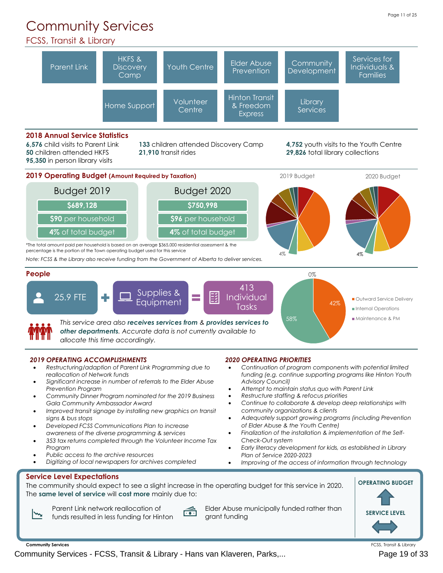## Community Services

### FCSS, Transit & Library



**95,350** in person library visits

**50** children attended HKFS **21,910** transit rides **29,826** total library collections





*allocate this time accordingly.*

#### *2019 OPERATING ACCOMPLISHMENTS 2020 OPERATING PRIORITIES*

- *Restructuring/adaption of Parent Link Programming due to reallocation of Network funds*
- *Significant increase in number of referrals to the Elder Abuse Prevention Program*
- *Community Dinner Program nominated for the 2019 Business Gala Community Ambassador Award*
- Improved transit signage by installing new graphics on transit *signs & bus stops*
- *Developed FCSS Communications Plan to increase awareness of the diverse programming & services*
- *353 tax returns completed through the Volunteer Income Tax Program*
- *Public access to the archive resources*
- *Digitizing of local newspapers for archives completed*

- *Continuation of program components with potential limited funding (e.g. continue supporting programs like Hinton Youth Advisory Council)*
- *Attempt to maintain status quo with Parent Link*
- *Restructure staffing & refocus priorities*
- *Continue to collaborate & develop deep relationships with community organizations & clients*
- *Adequately support growing programs (including Prevention of Elder Abuse & the Youth Centre)*
- *Finalization of the installation & implementation of the Self-Check-Out system*
- *Early literacy development for kids, as established in Library Plan of Service 2020-2023*
- *Improving of the access of information through technology*

**Service Level Expectations**

The community should expect to see a slight increase in the operating budget for this service in 2020. The **same level of service** will **cost more** mainly due to:



funds resulted in less funding for Hinton



Parent Link network reallocation of **Elder Abuse municipally funded rather than**<br>**Elder Abuse municipally funded rather than SERVICE LEVEL** grant funding



**Community Services** FCSS, Transit & Library

Community Services - FCSS, Transit & Library - Hans van Klaveren, Parks,... Page 19 of 33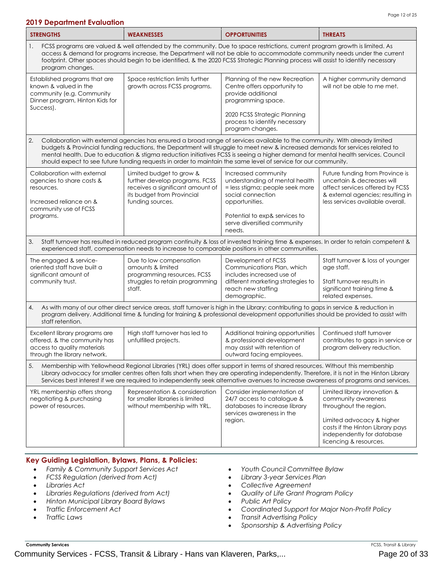| <b>ZUT7 DEPUNNIENI LYUIUUIIUII</b>                                                                                                                                                                                                                                                                                                                                                                                    |                                                                                                                                                  |                                                                                                                                                                                                                                                                                                                                                                                                                                                                                                                     |                                                                                                                                                                           |  |
|-----------------------------------------------------------------------------------------------------------------------------------------------------------------------------------------------------------------------------------------------------------------------------------------------------------------------------------------------------------------------------------------------------------------------|--------------------------------------------------------------------------------------------------------------------------------------------------|---------------------------------------------------------------------------------------------------------------------------------------------------------------------------------------------------------------------------------------------------------------------------------------------------------------------------------------------------------------------------------------------------------------------------------------------------------------------------------------------------------------------|---------------------------------------------------------------------------------------------------------------------------------------------------------------------------|--|
| <b>STRENGTHS</b>                                                                                                                                                                                                                                                                                                                                                                                                      | <b>WEAKNESSES</b>                                                                                                                                | <b>OPPORTUNITIES</b>                                                                                                                                                                                                                                                                                                                                                                                                                                                                                                | <b>THREATS</b>                                                                                                                                                            |  |
| FCSS programs are valued & well attended by the community. Due to space restrictions, current program growth is limited. As<br>access & demand for programs increase, the Department will not be able to accommodate community needs under the current<br>footprint. Other spaces should begin to be identified, & the 2020 FCSS Strategic Planning process will assist to identify necessary<br>program changes.     |                                                                                                                                                  |                                                                                                                                                                                                                                                                                                                                                                                                                                                                                                                     |                                                                                                                                                                           |  |
| Established programs that are<br>known & valued in the<br>community (e.g. Community<br>Dinner program, Hinton Kids for<br>Success).                                                                                                                                                                                                                                                                                   | Space restriction limits further<br>growth across FCSS programs.                                                                                 | Planning of the new Recreation<br>Centre offers opportunity to<br>provide additional<br>programming space.<br>2020 FCSS Strategic Planning<br>process to identify necessary<br>program changes.                                                                                                                                                                                                                                                                                                                     | A higher community demand<br>will not be able to me met.                                                                                                                  |  |
| 2.                                                                                                                                                                                                                                                                                                                                                                                                                    |                                                                                                                                                  | Collaboration with external agencies has ensured a broad range of services available to the community. With already limited<br>budgets & Provincial funding reductions, the Department will struggle to meet new & increased demands for services related to<br>mental health. Due to education & stigma reduction initiatives FCSS is seeing a higher demand for mental health services. Council<br>should expect to see future funding requests in order to maintain the same level of service for our community. |                                                                                                                                                                           |  |
| Collaboration with external<br>agencies to share costs &<br>resources.<br>Increased reliance on &<br>community use of FCSS                                                                                                                                                                                                                                                                                            | Limited budget to grow &<br>further develop programs. FCSS<br>receives a significant amount of<br>its budget from Provincial<br>funding sources. | Increased community<br>understanding of mental health<br>= less stigma; people seek more<br>social connection<br>opportunities.                                                                                                                                                                                                                                                                                                                                                                                     | Future funding from Province is<br>uncertain & decreases will<br>affect services offered by FCSS<br>& external agencies; resulting in<br>less services available overall. |  |
| programs.                                                                                                                                                                                                                                                                                                                                                                                                             |                                                                                                                                                  | Potential to exp& services to<br>serve diversified community<br>needs.                                                                                                                                                                                                                                                                                                                                                                                                                                              |                                                                                                                                                                           |  |
| 3.                                                                                                                                                                                                                                                                                                                                                                                                                    | experienced staff, compensation needs to increase to comparable positions in other communities.                                                  | Staff turnover has resulted in reduced program continuity & loss of invested training time & expenses. In order to retain competent &                                                                                                                                                                                                                                                                                                                                                                               |                                                                                                                                                                           |  |
| The engaged & service-<br>oriented staff have built a<br>significant amount of<br>community trust.                                                                                                                                                                                                                                                                                                                    | Due to low compensation<br>amounts & limited<br>programming resources, FCSS<br>struggles to retain programming<br>staff.                         | Development of FCSS<br>Communications Plan, which<br>includes increased use of<br>different marketing strategies to<br>reach new staffing<br>demographic.                                                                                                                                                                                                                                                                                                                                                           | Staff turnover & loss of younger<br>age staff.<br>Staff turnover results in<br>significant training time &<br>related expenses.                                           |  |
| 4.<br>staff retention.                                                                                                                                                                                                                                                                                                                                                                                                |                                                                                                                                                  | As with many of our other direct service areas, staff turnover is high in the Library; contributing to gaps in service & reduction in<br>program delivery. Additional time & funding for training & professional development opportunities should be provided to assist with                                                                                                                                                                                                                                        |                                                                                                                                                                           |  |
| Excellent library programs are<br>offered, & the community has<br>access to quality materials<br>through the library network.                                                                                                                                                                                                                                                                                         | High staff turnover has led to<br>unfulfilled projects.                                                                                          | Additional training opportunities<br>& professional development<br>may assist with retention of<br>outward facing employees.                                                                                                                                                                                                                                                                                                                                                                                        | Continued staff turnover<br>contributes to gaps in service or<br>program delivery reduction.                                                                              |  |
| Membership with Yellowhead Regional Libraries (YRL) does offer support in terms of shared resources. Without this membership<br>5.<br>Library advocacy for smaller centres often falls short when they are operating independently. Therefore, it is not in the Hinton Library<br>Services best interest if we are required to independently seek alternative avenues to increase awareness of programs and services. |                                                                                                                                                  |                                                                                                                                                                                                                                                                                                                                                                                                                                                                                                                     |                                                                                                                                                                           |  |
| YRL membership offers strong<br>negotiating & purchasing<br>power of resources.                                                                                                                                                                                                                                                                                                                                       | Representation & consideration<br>for smaller libraries is limited<br>without membership with YRL.                                               | Consider implementation of<br>24/7 access to catalogue &<br>databases to increase library<br>services awareness in the<br>region.                                                                                                                                                                                                                                                                                                                                                                                   | Limited library innovation &<br>community awareness<br>throughout the region.<br>Limited advocacy & higher                                                                |  |
|                                                                                                                                                                                                                                                                                                                                                                                                                       |                                                                                                                                                  |                                                                                                                                                                                                                                                                                                                                                                                                                                                                                                                     | costs if the Hinton Library pays<br>independently for database<br>licencing & resources.                                                                                  |  |

- *Family & Community Support Services Act*
- *FCSS Regulation (derived from Act)*
- *Libraries Act*
- *Libraries Regulations (derived from Act)*
- *Hinton Municipal Library Board Bylaws*
- *Traffic Enforcement Act*
- *Traffic Laws*
- *Youth Council Committee Bylaw*
- *Library 3-year Services Plan*
- *Collective Agreement*
- *Quality of Life Grant Program Policy*
- *Public Art Policy*
- *Coordinated Support for Major Non-Profit Policy*
- *Transit Advertising Policy*
- *Sponsorship & Advertising Policy*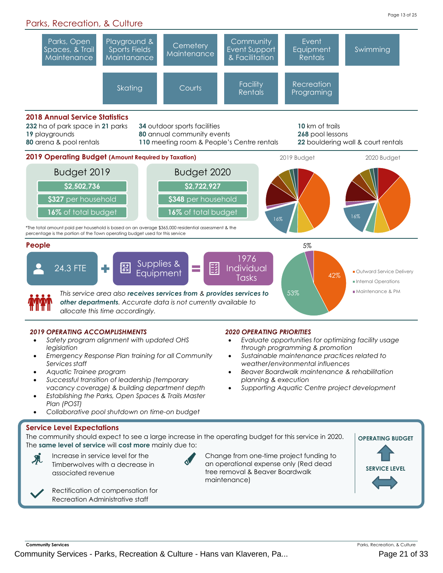### Parks, Recreation, & Culture

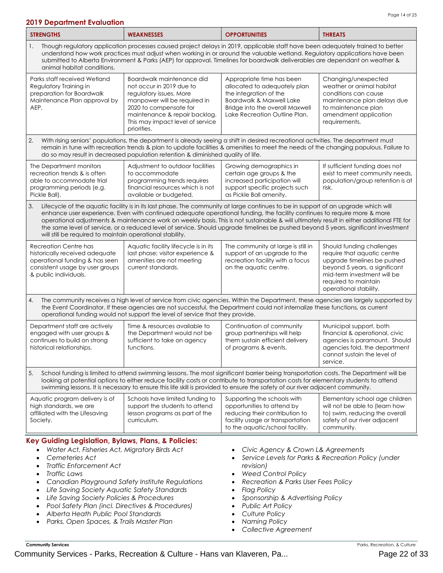| <b>STRENGTHS</b>                                                                                                                                                                                                                                                                                                                                                                                                                                                                                                                                                                                                                                                                                                                                                                                                                                  | <b>WEAKNESSES</b>                                                                                                                                                                                                              | <b>OPPORTUNITIES</b>                                                                                                                                                                                                                                                                                                                                                                                                                                                                                                                               | <b>THREATS</b>                                                                                                                                                                                            |  |
|---------------------------------------------------------------------------------------------------------------------------------------------------------------------------------------------------------------------------------------------------------------------------------------------------------------------------------------------------------------------------------------------------------------------------------------------------------------------------------------------------------------------------------------------------------------------------------------------------------------------------------------------------------------------------------------------------------------------------------------------------------------------------------------------------------------------------------------------------|--------------------------------------------------------------------------------------------------------------------------------------------------------------------------------------------------------------------------------|----------------------------------------------------------------------------------------------------------------------------------------------------------------------------------------------------------------------------------------------------------------------------------------------------------------------------------------------------------------------------------------------------------------------------------------------------------------------------------------------------------------------------------------------------|-----------------------------------------------------------------------------------------------------------------------------------------------------------------------------------------------------------|--|
| Though regulatory application processes caused project delays in 2019, applicable staff have been adequately trained to better<br>1.<br>understand how work practices must adjust when working in or around the valuable wetland. Regulatory applications have been<br>submitted to Alberta Environment & Parks (AEP) for approval. Timelines for boardwalk deliverables are dependant on weather &<br>animal habitat conditions.                                                                                                                                                                                                                                                                                                                                                                                                                 |                                                                                                                                                                                                                                |                                                                                                                                                                                                                                                                                                                                                                                                                                                                                                                                                    |                                                                                                                                                                                                           |  |
| Parks staff received Wetland<br>Regulatory Training in<br>preparation for Boardwalk<br>Maintenance Plan approval by<br>AEP.                                                                                                                                                                                                                                                                                                                                                                                                                                                                                                                                                                                                                                                                                                                       | Boardwalk maintenance did<br>not occur in 2019 due to<br>regulatory issues. More<br>manpower will be required in<br>2020 to compensate for<br>maintenance & repair backlog.<br>This may impact level of service<br>priorities. | Appropriate time has been<br>allocated to adequately plan<br>the integration of the<br>Boardwalk & Maxwell Lake<br>Bridge into the overall Maxwell<br>Lake Recreation Outline Plan.                                                                                                                                                                                                                                                                                                                                                                | Changing/unexpected<br>weather or animal habitat<br>conditions can cause<br>maintenance plan delays due<br>to maintenance plan<br>amendment application<br>requirements.                                  |  |
| 2.                                                                                                                                                                                                                                                                                                                                                                                                                                                                                                                                                                                                                                                                                                                                                                                                                                                | do so may result in decreased population retention & diminished quality of life.                                                                                                                                               | With rising seniors' populations, the department is already seeing a shift in desired recreational activities. The department must<br>remain in tune with recreation trends & plan to update facilities & amenities to meet the needs of the changing populous. Failure to                                                                                                                                                                                                                                                                         |                                                                                                                                                                                                           |  |
| The Department monitors<br>recreation trends & is often<br>able to accommodate trial<br>programming periods (e.g.<br>Pickle Ball).                                                                                                                                                                                                                                                                                                                                                                                                                                                                                                                                                                                                                                                                                                                | Adjustment to outdoor facilities<br>to accommodate<br>programming trends requires<br>financial resources which is not<br>available or budgeted.                                                                                | Growing demographics in<br>certain age groups & the<br>increased participation will<br>support specific projects such<br>as Pickle Ball amenity.                                                                                                                                                                                                                                                                                                                                                                                                   | If sufficient funding does not<br>exist to meet community needs,<br>population/group retention is at<br>risk.                                                                                             |  |
| 3.<br>will still be required to maintain operational stability.                                                                                                                                                                                                                                                                                                                                                                                                                                                                                                                                                                                                                                                                                                                                                                                   |                                                                                                                                                                                                                                | Lifecycle of the aquatic facility is in its last phase. The community at large continues to be in support of an upgrade which will<br>enhance user experience. Even with continued adequate operational funding, the facility continues to require more & more<br>operational adjustments & maintenance work on weekly basis. This is not sustainable & will ultimately result in either additional FTE for<br>the same level of service, or a reduced level of service. Should upgrade timelines be pushed beyond 5 years, significant investment |                                                                                                                                                                                                           |  |
| <b>Recreation Centre has</b><br>historically received adequate<br>operational funding & has seen<br>consistent usage by user groups<br>& public individuals.                                                                                                                                                                                                                                                                                                                                                                                                                                                                                                                                                                                                                                                                                      | Aquatic facility lifecycle is in its<br>last phase; visitor experience &<br>amenities are not meeting<br>current standards.                                                                                                    | The community at large is still in<br>support of an upgrade to the<br>recreation facility with a focus<br>on the aquatic centre.                                                                                                                                                                                                                                                                                                                                                                                                                   | Should funding challenges<br>require that aquatic centre<br>upgrade timelines be pushed<br>beyond 5 years, a significant<br>mid-term investment will be<br>required to maintain<br>operational stability. |  |
| 4.                                                                                                                                                                                                                                                                                                                                                                                                                                                                                                                                                                                                                                                                                                                                                                                                                                                | operational funding would not support the level of service that they provide.                                                                                                                                                  | The community receives a high level of service from civic agencies. Within the Department, these agencies are largely supported by<br>the Event Coordinator. If these agencies are not successful, the Department could not internalize these functions, as current                                                                                                                                                                                                                                                                                |                                                                                                                                                                                                           |  |
| Department staff are actively<br>engaged with user groups &<br>continues to build on strong<br>historical relationships.                                                                                                                                                                                                                                                                                                                                                                                                                                                                                                                                                                                                                                                                                                                          | Time & resources available to<br>the Department would not be<br>sufficient to take on agency<br>functions.                                                                                                                     | Continuation of community<br>group partnerships will help<br>them sustain efficient delivery<br>of programs & events.                                                                                                                                                                                                                                                                                                                                                                                                                              | Municipal support, both<br>financial & operational, civic<br>agencies is paramount. Should<br>agencies fold, the department<br>cannot sustain the level of<br>service.                                    |  |
| 5.                                                                                                                                                                                                                                                                                                                                                                                                                                                                                                                                                                                                                                                                                                                                                                                                                                                |                                                                                                                                                                                                                                | School funding is limited to attend swimming lessons. The most significant barrier being transportation costs. The Department will be<br>looking at potential options to either reduce facility costs or contribute to transportation costs for elementary students to attend<br>swimming lessons. It is necessary to ensure this life skill is provided to ensure the safety of our river adjacent community.                                                                                                                                     |                                                                                                                                                                                                           |  |
| Aquatic program delivery is of<br>high standards, we are<br>affiliated with the Lifesaving<br>Society.                                                                                                                                                                                                                                                                                                                                                                                                                                                                                                                                                                                                                                                                                                                                            | Schools have limited funding to<br>support the students to attend<br>lesson programs as part of the<br>curriculum.                                                                                                             | Supporting the schools with<br>opportunities to attend by<br>reducing their contribution to<br>facility usage or transportation<br>to the aquatic/school facility.                                                                                                                                                                                                                                                                                                                                                                                 | Elementary school age children<br>will not be able to (learn how<br>to) swim, reducing the overall<br>safety of our river adjacent<br>community.                                                          |  |
| Key Guiding Legislation, Bylaws, Plans, & Policies:<br>Water Act, Fisheries Act, Migratory Birds Act<br>Civic Agency & Crown L& Agreements<br>Cemeteries Act<br>Service Levels for Parks & Recreation Policy (under<br><b>Traffic Enforcement Act</b><br>revision)<br><b>Traffic Laws</b><br><b>Weed Control Policy</b><br>$\bullet$<br>Canadian Playground Safety Institute Regulations<br>Recreation & Parks User Fees Policy<br>٠<br>Life Saving Society Aquatic Safety Standards<br><b>Flag Policy</b><br>$\bullet$<br>Life Saving Society Policies & Procedures<br>Sponsorship & Advertising Policy<br>$\bullet$<br>Pool Safety Plan (incl. Directives & Procedures)<br>Public Art Policy<br>٠<br>Alberta Heath Public Pool Standards<br>Culture Policy<br>Naming Policy<br>Parks, Open Spaces, & Trails Master Plan<br>Collective Agreement |                                                                                                                                                                                                                                |                                                                                                                                                                                                                                                                                                                                                                                                                                                                                                                                                    |                                                                                                                                                                                                           |  |

**Community Services Parks, Recreation, & Culture Parks, Recreation, & Culture**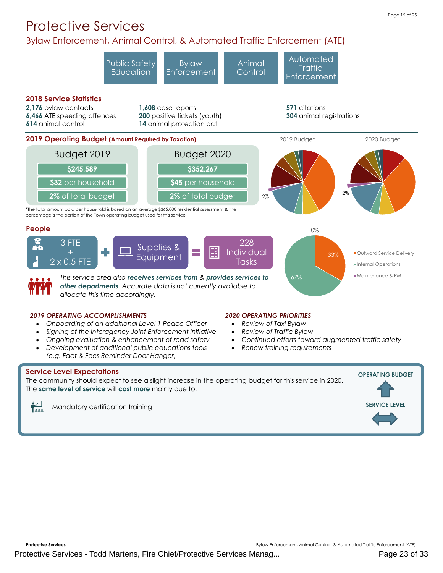### Protective Services

### Bylaw Enforcement, Animal Control, & Automated Traffic Enforcement (ATE)



#### **Service Level Expectations**

The community should expect to see a slight increase in the operating budget for this service in 2020. The **same level of service** will **cost more** mainly due to:



M **SERVICE LEVEL** andatory certification training

Protective Services - Todd Martens, Fire Chief/Protective Services Manag... Page 23 of 33

**OPERATING BUDGET**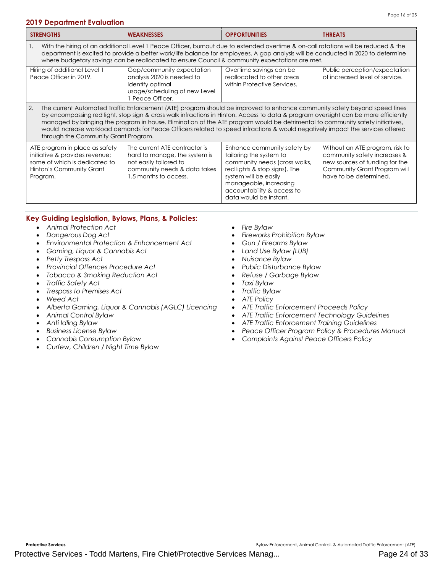| <b>STRENGTHS</b>                                                                                                | <b>WEAKNESSES</b>                                                                                                                                                 | <b>ORTUNITIES</b><br>OP'                     | <b>THREATS</b>                                                                                                       |
|-----------------------------------------------------------------------------------------------------------------|-------------------------------------------------------------------------------------------------------------------------------------------------------------------|----------------------------------------------|----------------------------------------------------------------------------------------------------------------------|
| the contract of the contract of the contract of the contract of the contract of the contract of the contract of | 100 - 100 - 100 - 100 - 100 - 100 - 100 - 100 - 100 - 100 - 100 - 100 - 100 - 100 - 100 - 100 - 100 - 100 - 10<br>the contract of the contract of the contract of | the control of the control of the control of | the control of the control of the<br>the contract of the contract of the contract of the contract of the contract of |

| With the hiring of an additional Level 1 Peace Officer, burnout due to extended overtime & on-call rotations will be reduced & the<br>department is excited to provide a better work/life balance for employees. A gap analysis will be conducted in 2020 to determine<br>where budgetary savings can be reallocated to ensure Council & community expectations are met.                                                                                                                                                                   |                                                                                                                                  |                                                                                      |                                                                 |  |
|--------------------------------------------------------------------------------------------------------------------------------------------------------------------------------------------------------------------------------------------------------------------------------------------------------------------------------------------------------------------------------------------------------------------------------------------------------------------------------------------------------------------------------------------|----------------------------------------------------------------------------------------------------------------------------------|--------------------------------------------------------------------------------------|-----------------------------------------------------------------|--|
| Hiring of additional Level 1<br>Peace Officer in 2019.                                                                                                                                                                                                                                                                                                                                                                                                                                                                                     | Gap/community expectation<br>analysis 2020 is needed to<br>identify optimal<br>usage/scheduling of new Level<br>l Peace Officer. | Overtime savings can be<br>reallocated to other areas<br>within Protective Services. | Public perception/expectation<br>of increased level of service. |  |
| The current Automated Traffic Enforcement (ATE) program should be improved to enhance community safety beyond speed fines<br>2.<br>by encompassing red light, stop sign & cross walk infractions in Hinton. Access to data & program oversight can be more efficiently<br>managed by bringing the program in house. Elimination of the ATE program would be detrimental to community safety initiatives,<br>would increase workload demands for Peace Officers related to speed infractions & would negatively impact the services offered |                                                                                                                                  |                                                                                      |                                                                 |  |

through the Community Grant Program.

| ATE program in place as safety<br>The current ATE contractor is<br>initiative & provides revenue;<br>hard to manage, the system is<br>some of which is dedicated to<br>not easily tailored to<br>community needs & data takes<br>Hinton's Community Grant<br>1.5 months to access.<br>Program. | Enhance community safety by<br>tailoring the system to<br>community needs (cross walks,<br>red lights & stop signs). The<br>system will be easily<br>manageable, increasing<br>accountability & access to<br>data would be instant. | Without an ATE program, risk to<br>community safety increases &<br>new sources of funding for the<br>Community Grant Program will<br>have to be determined. |
|------------------------------------------------------------------------------------------------------------------------------------------------------------------------------------------------------------------------------------------------------------------------------------------------|-------------------------------------------------------------------------------------------------------------------------------------------------------------------------------------------------------------------------------------|-------------------------------------------------------------------------------------------------------------------------------------------------------------|
|------------------------------------------------------------------------------------------------------------------------------------------------------------------------------------------------------------------------------------------------------------------------------------------------|-------------------------------------------------------------------------------------------------------------------------------------------------------------------------------------------------------------------------------------|-------------------------------------------------------------------------------------------------------------------------------------------------------------|

- *Animal Protection Act*
- *Dangerous Dog Act*
- *Environmental Protection & Enhancement Act*
- *Gaming, Liquor & Cannabis Act*
- *Petty Trespass Act*
- *Provincial Offences Procedure Act*
- *Tobacco & Smoking Reduction Act*
- *Traffic Safety Act*
- *Trespass to Premises Act*
- *Weed Act*
- *Alberta Gaming, Liquor & Cannabis (AGLC) Licencing*
- *Animal Control Bylaw*
- *Anti Idling Bylaw*
- *Business License Bylaw*
- *Cannabis Consumption Bylaw*
- *Curfew, Children / Night Time Bylaw*
- *Fire Bylaw*
- *Fireworks Prohibition Bylaw*
- *Gun / Firearms Bylaw*
- *Land Use Bylaw (LUB)*
- *Nuisance Bylaw*
- *Public Disturbance Bylaw*
- *Refuse / Garbage Bylaw*
- *Taxi Bylaw*
- *Traffic Bylaw*
- *ATE Policy*
- *ATE Traffic Enforcement Proceeds Policy*
- *ATE Traffic Enforcement Technology Guidelines*
- *ATE Traffic Enforcement Training Guidelines*
- *Peace Officer Program Policy & Procedures Manual*
- *Complaints Against Peace Officers Policy*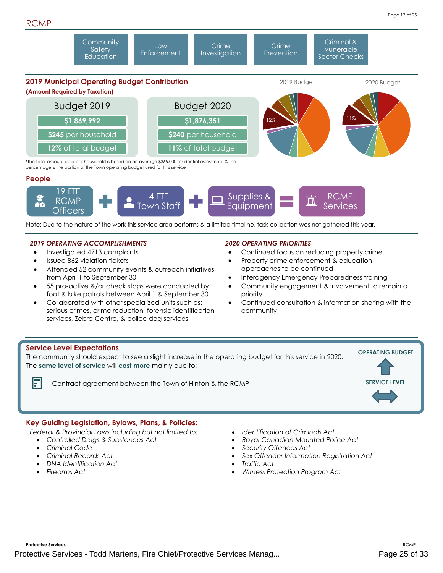

Note: Due to the nature of the work this service area performs & a limited timeline, task collection was not gathered this year.

#### *2019 OPERATING ACCOMPLISHMENTS 2020 OPERATING PRIORITIES*

- Investigated 4713 complaints
- Issued 862 violation tickets

**Officers** 

- Attended 52 community events & outreach initiatives from April 1 to September 30
- 55 pro-active &/or check stops were conducted by foot & bike patrols between April 1 & September 30
- Collaborated with other specialized units such as: serious crimes, crime reduction, forensic identification services, Zebra Centre, & police dog services

- Continued focus on reducing property crime.
- Property crime enforcement & education approaches to be continued
- Interagency Emergency Preparedness training
- Community engagement & involvement to remain a priority
- Continued consultation & information sharing with the community

#### **Service Level Expectations**

The community should expect to see a slight increase in the operating budget for this service in 2020. The **same level of service** will **cost more** mainly due to:



**Key Guiding Legislation, Bylaws, Plans, & Policies:**  *Federal & Provincial Laws including but not limited to:*

- *Controlled Drugs & Substances Act*
- *Criminal Code*

原

- *Criminal Records Act*
- *DNA Identification Act*
- *Firearms Act*
- *Identification of Criminals Act*
- *Royal Canadian Mounted Police Act*
- *Security Offences Act*
- *Sex Offender Information Registration Act*
- *Traffic Act*
- *Witness Protection Program Act*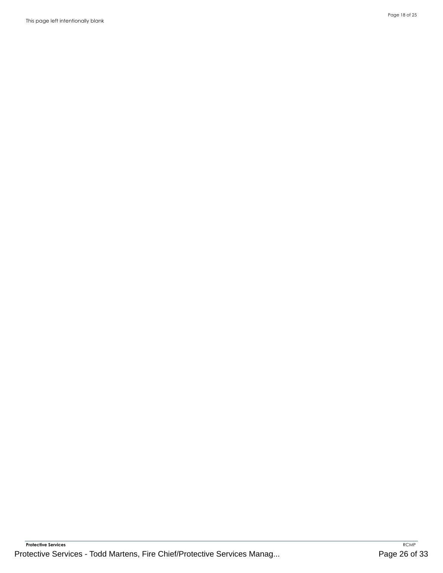This page left intentionally blank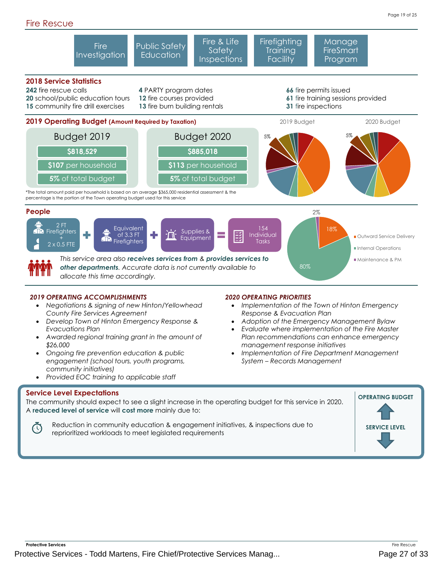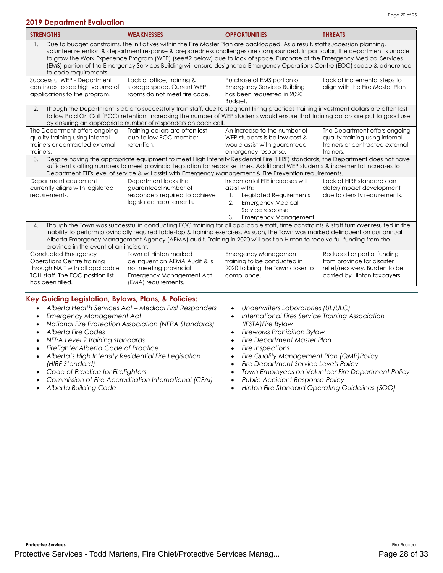| <b>STRENGTHS</b>                                                                                                                                                                                                                                                                                                                                                                                                                                                                                                                                                    | <b>WEAKNESSES</b>                                                                                                                                                                                                                                                                                                                                                                | <b>OPPORTUNITIES</b>                                                                                                                                                        | <b>THREATS</b>                                                                                                            |  |
|---------------------------------------------------------------------------------------------------------------------------------------------------------------------------------------------------------------------------------------------------------------------------------------------------------------------------------------------------------------------------------------------------------------------------------------------------------------------------------------------------------------------------------------------------------------------|----------------------------------------------------------------------------------------------------------------------------------------------------------------------------------------------------------------------------------------------------------------------------------------------------------------------------------------------------------------------------------|-----------------------------------------------------------------------------------------------------------------------------------------------------------------------------|---------------------------------------------------------------------------------------------------------------------------|--|
| Due to budget constraints, the initiatives within the Fire Master Plan are backlogged. As a result, staff succession planning,<br>$\mathbf{1}$ .<br>volunteer retention & department response & preparedness challenges are compounded. In particular, the department is unable<br>to grow the Work Experience Program (WEP) (see#2 below) due to lack of space. Purchase of the Emergency Medical Services<br>(EMS) portion of the Emergency Services Building will ensure designated Emergency Operations Centre (EOC) space & adherence<br>to code requirements. |                                                                                                                                                                                                                                                                                                                                                                                  |                                                                                                                                                                             |                                                                                                                           |  |
| Successful WEP - Department<br>continues to see high volume of<br>applications to the program.                                                                                                                                                                                                                                                                                                                                                                                                                                                                      | Lack of office, training &<br>storage space. Current WEP<br>rooms do not meet fire code.                                                                                                                                                                                                                                                                                         | Purchase of EMS portion of<br><b>Emergency Services Building</b><br>has been requested in 2020<br>Budget.                                                                   | Lack of incremental steps to<br>align with the Fire Master Plan                                                           |  |
| 2.                                                                                                                                                                                                                                                                                                                                                                                                                                                                                                                                                                  | Though the Department is able to successfully train staff, due to stagnant hiring practices training investment dollars are often lost<br>to low Paid On Call (POC) retention. Increasing the number of WEP students would ensure that training dollars are put to good use<br>by ensuring an appropriate number of responders on each call.                                     |                                                                                                                                                                             |                                                                                                                           |  |
| The Department offers ongoing<br>quality training using internal<br>trainers or contracted external<br>trainers.                                                                                                                                                                                                                                                                                                                                                                                                                                                    | Training dollars are often lost<br>due to low POC member<br>retention.                                                                                                                                                                                                                                                                                                           | An increase to the number of<br>WEP students is be low cost &<br>would assist with guaranteed<br>emergency response.                                                        | The Department offers ongoing<br>quality training using internal<br>trainers or contracted external<br>trainers.          |  |
| 3.                                                                                                                                                                                                                                                                                                                                                                                                                                                                                                                                                                  | Despite having the appropriate equipment to meet High Intensity Residential Fire (HIRF) standards, the Department does not have<br>sufficient staffing numbers to meet provincial legislation for response times. Additional WEP students & incremental increases to<br>Department FTEs level of service & will assist with Emergency Management & Fire Prevention requirements. |                                                                                                                                                                             |                                                                                                                           |  |
| Department equipment<br>currently aligns with legislated<br>requirements.                                                                                                                                                                                                                                                                                                                                                                                                                                                                                           | Department lacks the<br>guaranteed number of<br>responders required to achieve<br>legislated requirements.                                                                                                                                                                                                                                                                       | Incremental FTE increases will<br>assist with:<br>Legislated Requirements<br>-1.<br>2.<br><b>Emergency Medical</b><br>Service response<br>3.<br><b>Emergency Management</b> | Lack of HIRF standard can<br>deter/impact development<br>due to density requirements.                                     |  |
| Though the Town was successful in conducting EOC training for all applicable staff, time constraints & staff turn over resulted in the<br>$\overline{4}$ .<br>inability to perform provincially required table-top & training exercises. As such, the Town was marked delinquent on our annual<br>Alberta Emergency Management Agency (AEMA) audit. Training in 2020 will position Hinton to receive full funding from the<br>province in the event of an incident.                                                                                                 |                                                                                                                                                                                                                                                                                                                                                                                  |                                                                                                                                                                             |                                                                                                                           |  |
| Conducted Emergency<br><b>Operations Centre training</b><br>through NAIT with all applicable<br>TOH staff. The EOC position list<br>has been filled.                                                                                                                                                                                                                                                                                                                                                                                                                | Town of Hinton marked<br>delinquent on AEMA Audit & is<br>not meeting provincial<br>Emergency Management Act<br>(EMA) requirements.                                                                                                                                                                                                                                              | <b>Emergency Management</b><br>training to be conducted in<br>2020 to bring the Town closer to<br>compliance.                                                               | Reduced or partial funding<br>from province for disaster<br>relief/recovery. Burden to be<br>carried by Hinton taxpayers. |  |

- *Alberta Health Services Act – Medical First Responders*
- *Emergency Management Act*
- *National Fire Protection Association (NFPA Standards)*
- *Alberta Fire Codes*
- *NFPA Level 2 training standards*
- *Firefighter Alberta Code of Practice*
- *Alberta's High Intensity Residential Fire Legislation (HIRF Standard)*
- *Code of Practice for Firefighters*
- *Commission of Fire Accreditation International (CFAI)*
- *Alberta Building Code*
- *Underwriters Laboratories (UL/ULC)*
- *International Fires Service Training Association (IFSTA)Fire Bylaw*
- *Fireworks Prohibition Bylaw*
- *Fire Department Master Plan*
- *Fire Inspections*
- *Fire Quality Management Plan (QMP)Policy*
- *Fire Department Service Levels Policy*
- *Town Employees on Volunteer Fire Department Policy*
- *Public Accident Response Policy*
- *Hinton Fire Standard Operating Guidelines (SOG)*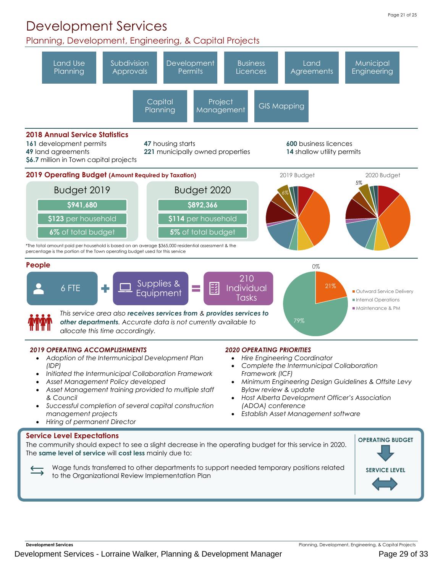### Development Services

#### Planning, Development, Engineering, & Capital Projects

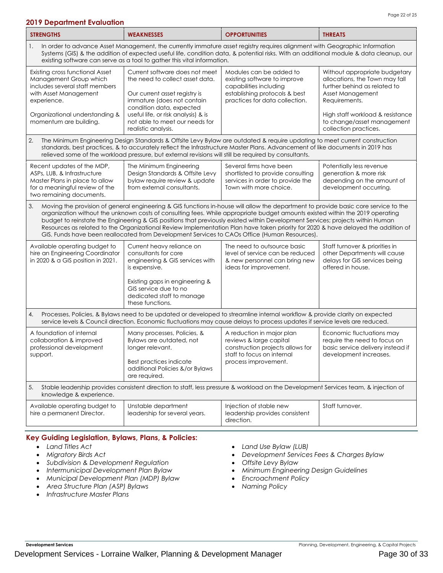| zu i z beparmieni Evaludilon<br><b>STRENGTHS</b>                                                                                                                                                                                                                                                                                                                                                                                                                                                                                                                                                                                                  | <b>WEAKNESSES</b>                                                                                                                                            | <b>OPPORTUNITIES</b>                                                                                                                                 | <b>THREATS</b>                                                                                                                       |  |  |  |  |  |
|---------------------------------------------------------------------------------------------------------------------------------------------------------------------------------------------------------------------------------------------------------------------------------------------------------------------------------------------------------------------------------------------------------------------------------------------------------------------------------------------------------------------------------------------------------------------------------------------------------------------------------------------------|--------------------------------------------------------------------------------------------------------------------------------------------------------------|------------------------------------------------------------------------------------------------------------------------------------------------------|--------------------------------------------------------------------------------------------------------------------------------------|--|--|--|--|--|
| In order to advance Asset Management, the currently immature asset registry requires alignment with Geographic Information<br>Systems (GIS) & the addition of expected useful life, condition data, & potential risks. With an additional module & data cleanup, our<br>existing software can serve as a tool to gather this vital information.                                                                                                                                                                                                                                                                                                   |                                                                                                                                                              |                                                                                                                                                      |                                                                                                                                      |  |  |  |  |  |
| <b>Existing cross functional Asset</b><br>Management Group which<br>includes several staff members<br>with Asset Management<br>experience.                                                                                                                                                                                                                                                                                                                                                                                                                                                                                                        | Current software does not meet<br>the need to collect asset data.<br>Our current asset registry is<br>immature (does not contain<br>condition data, expected | Modules can be added to<br>existing software to improve<br>capabilities including<br>establishing protocols & best<br>practices for data collection. | Without appropriate budgetary<br>allocations, the Town may fall<br>further behind as related to<br>Asset Management<br>Requirements. |  |  |  |  |  |
| Organizational understanding &<br>momentum are building.                                                                                                                                                                                                                                                                                                                                                                                                                                                                                                                                                                                          | useful life, or risk analysis) & is<br>not able to meet our needs for<br>realistic analysis.                                                                 |                                                                                                                                                      |                                                                                                                                      |  |  |  |  |  |
| 2.<br>The Minimum Engineering Design Standards & Offsite Levy Bylaw are outdated & require updating to meet current construction<br>standards, best practices, & to accurately reflect the Infrastructure Master Plans. Advancement of like documents in 2019 has<br>relieved some of the workload pressure, but external revisions will still be required by consultants.                                                                                                                                                                                                                                                                        |                                                                                                                                                              |                                                                                                                                                      |                                                                                                                                      |  |  |  |  |  |
| Recent updates of the MDP,<br>ASPs, LUB, & Infrastructure<br>Master Plans in place to allow<br>for a meaningful review of the<br>two remaining documents.                                                                                                                                                                                                                                                                                                                                                                                                                                                                                         | The Minimum Engineering<br>Design Standards & Offsite Levy<br>bylaw require review & update<br>from external consultants.                                    | Several firms have been<br>shortlisted to provide consulting<br>services in order to provide the<br>Town with more choice.                           | Potentially less revenue<br>generation & more risk<br>depending on the amount of<br>development occurring.                           |  |  |  |  |  |
| 3.<br>Moving the provision of general engineering & GIS functions in-house will allow the department to provide basic core service to the<br>organization without the unknown costs of consulting fees. While appropriate budget amounts existed within the 2019 operating<br>budget to reinstate the Engineering & GIS positions that previously existed within Development Services; projects within Human<br>Resources as related to the Organizational Review Implementation Plan have taken priority for 2020 & have delayed the addition of<br>GIS. Funds have been reallocated from Development Services to CAOs Office (Human Resources). |                                                                                                                                                              |                                                                                                                                                      |                                                                                                                                      |  |  |  |  |  |
| Available operating budget to<br>hire an Engineering Coordinator<br>in 2020 & a GIS position in 2021.                                                                                                                                                                                                                                                                                                                                                                                                                                                                                                                                             | Current heavy reliance on<br>consultants for core<br>engineering & GIS services with<br>is expensive.                                                        | The need to outsource basic<br>level of service can be reduced<br>& new personnel can bring new<br>ideas for improvement.                            | Staff turnover & priorities in<br>other Departments will cause<br>delays for GIS services being<br>offered in house.                 |  |  |  |  |  |
|                                                                                                                                                                                                                                                                                                                                                                                                                                                                                                                                                                                                                                                   | Existing gaps in engineering &<br>GIS service due to no<br>dedicated staff to manage<br>these functions.                                                     |                                                                                                                                                      |                                                                                                                                      |  |  |  |  |  |
| Processes, Policies, & Bylaws need to be updated or developed to streamline internal workflow & provide clarity on expected<br>4.<br>service levels & Council direction. Economic fluctuations may cause delays to process updates if service levels are reduced.                                                                                                                                                                                                                                                                                                                                                                                 |                                                                                                                                                              |                                                                                                                                                      |                                                                                                                                      |  |  |  |  |  |
| A foundation of internal<br>collaboration & improved<br>professional development<br>support.                                                                                                                                                                                                                                                                                                                                                                                                                                                                                                                                                      | Many processes, Policies, &<br>Bylaws are outdated, not<br>longer relevant.                                                                                  | A reduction in major plan<br>reviews & large capital<br>construction projects allows for<br>staff to focus on internal                               | Economic fluctuations may<br>require the need to focus on<br>basic service delivery instead if<br>development increases.             |  |  |  |  |  |
|                                                                                                                                                                                                                                                                                                                                                                                                                                                                                                                                                                                                                                                   | <b>Best practices indicate</b><br>additional Policies &/or Bylaws<br>are required.                                                                           | process improvement.                                                                                                                                 |                                                                                                                                      |  |  |  |  |  |
| Stable leadership provides consistent direction to staff, less pressure & workload on the Development Services team, & injection of<br>5.<br>knowledge & experience.                                                                                                                                                                                                                                                                                                                                                                                                                                                                              |                                                                                                                                                              |                                                                                                                                                      |                                                                                                                                      |  |  |  |  |  |
| Available operating budget to<br>hire a permanent Director.                                                                                                                                                                                                                                                                                                                                                                                                                                                                                                                                                                                       | Unstable department<br>leadership for several years.                                                                                                         | Injection of stable new<br>leadership provides consistent<br>direction.                                                                              | Staff turnover.                                                                                                                      |  |  |  |  |  |

- *Land Titles Act*
- *Migratory Birds Act*
- *Subdivision & Development Regulation*
- *Intermunicipal Development Plan Bylaw*
- *Municipal Development Plan (MDP) Bylaw*
- *Area Structure Plan (ASP) Bylaws*
- *Infrastructure Master Plans*
- *Land Use Bylaw (LUB)*
- *Development Services Fees & Charges Bylaw*
- *Offsite Levy Bylaw*
- *Minimum Engineering Design Guidelines*
- *Encroachment Policy*
- *Naming Policy*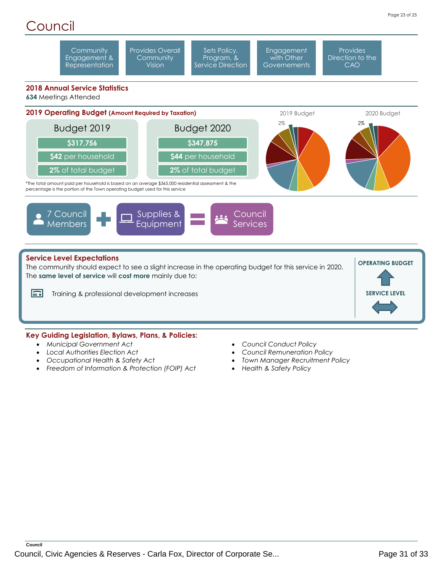## **Council**

Provides Direction to the CAO

Page 23 of 25

#### **2018 Annual Service Statistics**

**634** Meetings Attended



#### **Service Level Expectations**

The community should expect to see a slight increase in the operating budget for this service in 2020. The **same level of service** will **cost more** mainly due to:

 $\blacksquare$ 

**Council**

Training & professional development increases **SERVICE LEVEL** SERVICE LEVEL



- *Municipal Government Act*
- *Local Authorities Election Act*
- *Occupational Health & Safety Act*
- *Freedom of Information & Protection (FOIP) Act*
- *Council Conduct Policy*
- *Council Remuneration Policy*
- *Town Manager Recruitment Policy*
- *Health & Safety Policy*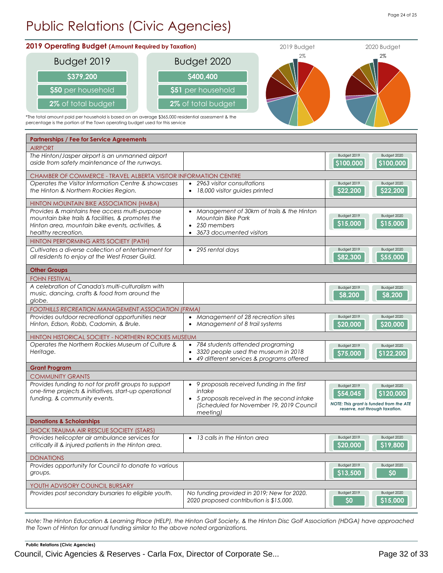# Public Relations (Civic Agencies)

**2019 Operating Budget (Amount Required by Taxation)**

| Budget 2019                                                                                                                                                                        |                                                                   | Budget 2020                                                                       | 2%                                                                        |                          | 2%                       |  |  |  |
|------------------------------------------------------------------------------------------------------------------------------------------------------------------------------------|-------------------------------------------------------------------|-----------------------------------------------------------------------------------|---------------------------------------------------------------------------|--------------------------|--------------------------|--|--|--|
| \$379,200                                                                                                                                                                          |                                                                   | \$400,400                                                                         |                                                                           |                          |                          |  |  |  |
| \$50 per household                                                                                                                                                                 |                                                                   | \$51 per household                                                                |                                                                           |                          |                          |  |  |  |
| 2% of total budget                                                                                                                                                                 |                                                                   | 2% of total budget                                                                |                                                                           |                          |                          |  |  |  |
| *The total amount paid per household is based on an average \$365,000 residential assessment & the<br>percentage is the portion of the Town operating budget used for this service |                                                                   |                                                                                   |                                                                           |                          |                          |  |  |  |
| <b>Partnerships / Fee for Service Agreements</b>                                                                                                                                   |                                                                   |                                                                                   |                                                                           |                          |                          |  |  |  |
| <b>AIRPORT</b>                                                                                                                                                                     |                                                                   |                                                                                   |                                                                           |                          |                          |  |  |  |
| The Hinton/Jasper airport is an unmanned airport<br>aside from safety maintenance of the runways.                                                                                  |                                                                   |                                                                                   |                                                                           | Budget 2019<br>\$100,000 | Budget 2020<br>\$100,000 |  |  |  |
| CHAMBER OF COMMERCE - TRAVEL ALBERTA VISITOR INFORMATION CENTRE                                                                                                                    |                                                                   |                                                                                   |                                                                           |                          |                          |  |  |  |
| Operates the Visitor Information Centre & showcases<br>the Hinton & Northern Rockies Region.                                                                                       |                                                                   | 2963 visitor consultations<br>18,000 visitor guides printed<br>$\bullet$          |                                                                           | Budget 2019<br>\$22,200  | Budget 2020<br>\$22,200  |  |  |  |
|                                                                                                                                                                                    |                                                                   |                                                                                   |                                                                           |                          |                          |  |  |  |
| HINTON MOUNTAIN BIKE ASSOCIATION (HMBA)                                                                                                                                            |                                                                   |                                                                                   |                                                                           |                          |                          |  |  |  |
| Provides & maintains free access multi-purpose<br>mountain bike trails & facilities, & promotes the                                                                                | • Management of 30km of trails & the Hinton<br>Mountain Bike Park |                                                                                   | Budget 2019                                                               | Budget 2020              |                          |  |  |  |
| Hinton area, mountain bike events, activities, &                                                                                                                                   |                                                                   | 250 members                                                                       |                                                                           | \$15,000                 | \$15,000                 |  |  |  |
| healthy recreation.                                                                                                                                                                |                                                                   | 3673 documented visitors<br>$\bullet$                                             |                                                                           |                          |                          |  |  |  |
| HINTON PERFORMING ARTS SOCIETY (PATH)                                                                                                                                              |                                                                   |                                                                                   |                                                                           |                          |                          |  |  |  |
| Cultivates a diverse collection of entertainment for<br>all residents to enjoy at the West Fraser Guild.                                                                           |                                                                   | • 295 rental days                                                                 | Budget 2019<br>\$82,300                                                   | Budget 2020<br>\$55,000  |                          |  |  |  |
| <b>Other Groups</b>                                                                                                                                                                |                                                                   |                                                                                   |                                                                           |                          |                          |  |  |  |
| <b>FOHN FESTIVAL</b>                                                                                                                                                               |                                                                   |                                                                                   |                                                                           |                          |                          |  |  |  |
| A celebration of Canada's multi-culturalism with                                                                                                                                   |                                                                   |                                                                                   |                                                                           | Budget 2019              | Budget 2020              |  |  |  |
| music, dancing, crafts & food from around the                                                                                                                                      |                                                                   |                                                                                   |                                                                           | \$8,200                  | \$8,200                  |  |  |  |
| globe.                                                                                                                                                                             |                                                                   |                                                                                   |                                                                           |                          |                          |  |  |  |
| FOOTHILLS RECREATION MANAGEMENT ASSOCIATION (FRMA)                                                                                                                                 |                                                                   |                                                                                   |                                                                           |                          |                          |  |  |  |
| Provides outdoor recreational opportunities near<br>Hinton, Edson, Robb, Cadomin, & Brule.                                                                                         |                                                                   | Management of 28 recreation sites<br>$\bullet$<br>• Management of 8 trail systems |                                                                           | Budget 2019<br>\$20,000  | Budget 2020<br>\$20,000  |  |  |  |
| HINTON HISTORICAL SOCIETY - NORTHERN ROCKIES MUSEUM                                                                                                                                |                                                                   |                                                                                   |                                                                           |                          |                          |  |  |  |
| Operates the Northern Rockies Museum of Culture &                                                                                                                                  |                                                                   | 784 students attended programing                                                  |                                                                           | Budget 2019              | Budget 2020              |  |  |  |
| Heritage.                                                                                                                                                                          |                                                                   | 3320 people used the museum in 2018<br>$\bullet$                                  |                                                                           | \$75,000                 | \$122,200                |  |  |  |
|                                                                                                                                                                                    | 49 different services & programs offered<br>$\bullet$             |                                                                                   |                                                                           |                          |                          |  |  |  |
| <b>Grant Program</b>                                                                                                                                                               |                                                                   |                                                                                   |                                                                           |                          |                          |  |  |  |
| <b>COMMUNITY GRANTS</b>                                                                                                                                                            |                                                                   |                                                                                   |                                                                           |                          |                          |  |  |  |
| Provides funding to not for profit groups to support<br>one-time projects & initiatives, start-up operational                                                                      |                                                                   | • 9 proposals received funding in the first<br>intake                             |                                                                           | Budget 2019              | Budget 2020              |  |  |  |
| funding, & community events.                                                                                                                                                       |                                                                   | • 5 proposals received in the second intake                                       |                                                                           | \$54,045                 | \$120,000                |  |  |  |
|                                                                                                                                                                                    |                                                                   | (Scheduled for November 19, 2019 Council                                          | NOTE: This grant is funded from the ATE<br>reserve, not through taxation. |                          |                          |  |  |  |
| <b>Donations &amp; Scholarships</b>                                                                                                                                                |                                                                   | meeting)                                                                          |                                                                           |                          |                          |  |  |  |
|                                                                                                                                                                                    |                                                                   |                                                                                   |                                                                           |                          |                          |  |  |  |
| SHOCK TRAUMA AIR RESCUE SOCIETY (STARS)<br>Provides helicopter air ambulance services for                                                                                          |                                                                   | 13 calls in the Hinton area<br>$\bullet$                                          |                                                                           | Budget 2019              | Budget 2020              |  |  |  |
| critically ill & injured patients in the Hinton area.                                                                                                                              |                                                                   |                                                                                   |                                                                           | \$20,000                 | \$19,800                 |  |  |  |
| <b>DONATIONS</b>                                                                                                                                                                   |                                                                   |                                                                                   |                                                                           |                          |                          |  |  |  |
| Provides opportunity for Council to donate to various                                                                                                                              |                                                                   |                                                                                   |                                                                           | Budget 2019              | Budget 2020              |  |  |  |
| groups.                                                                                                                                                                            |                                                                   |                                                                                   |                                                                           | \$13,500                 | 50                       |  |  |  |
| YOUTH ADVISORY COUNCIL BURSARY                                                                                                                                                     |                                                                   |                                                                                   |                                                                           |                          |                          |  |  |  |
| Provides post secondary bursaries to eligible youth.                                                                                                                               |                                                                   | No funding provided in 2019; New for 2020.                                        |                                                                           | Budget 2019              | Budget 2020              |  |  |  |

*Note: The Hinton Education & Learning Place (HELP), the Hinton Golf Society, & the Hinton Disc Golf Association (HDGA) have approached the Town of Hinton for annual funding similar to the above noted organizations.*

*2020 proposed contribution is \$15,000.*

**\$15,000**

**\$0**

2020 Budget

2019 Budget